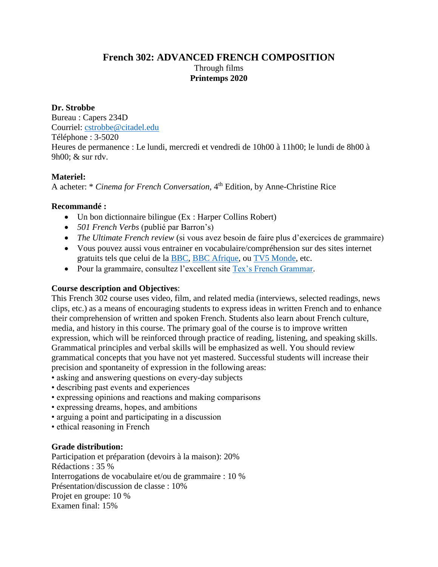# **French 302: ADVANCED FRENCH COMPOSITION** Through films **Printemps 2020**

### **Dr. Strobbe**

Bureau : Capers 234D Courriel: [cstrobbe@citadel.edu](mailto:cstrobbe@citadel.edu) Téléphone : 3-5020 Heures de permanence : Le lundi, mercredi et vendredi de 10h00 à 11h00; le lundi de 8h00 à 9h00; & sur rdv.

### **Materiel:**

A acheter: \* *Cinema for French Conversation*, 4<sup>th</sup> Edition, by Anne-Christine Rice

# **Recommandé :**

- Un bon dictionnaire bilingue (Ex : Harper Collins Robert)
- *501 French Verbs* (publié par Barron's)
- *The Ultimate French review* (si vous avez besoin de faire plus d'exercices de grammaire)
- Vous pouvez aussi vous entrainer en vocabulaire/compréhension sur des sites internet gratuits tels que celui de la [BBC,](http://www.bbc.co.uk/languages/french/) [BBC Afrique,](http://www.bbc.com/afrique) ou [TV5 Monde,](http://apprendre.tv5monde.com/) etc.
- Pour la grammaire, consultez l'excellent site [Tex's French Grammar.](http://www.laits.utexas.edu/tex/)

# **Course description and Objectives**:

This French 302 course uses video, film, and related media (interviews, selected readings, news clips, etc.) as a means of encouraging students to express ideas in written French and to enhance their comprehension of written and spoken French. Students also learn about French culture, media, and history in this course. The primary goal of the course is to improve written expression, which will be reinforced through practice of reading, listening, and speaking skills. Grammatical principles and verbal skills will be emphasized as well. You should review grammatical concepts that you have not yet mastered. Successful students will increase their precision and spontaneity of expression in the following areas:

- asking and answering questions on every-day subjects
- describing past events and experiences
- expressing opinions and reactions and making comparisons
- expressing dreams, hopes, and ambitions
- arguing a point and participating in a discussion
- ethical reasoning in French

# **Grade distribution:**

Participation et préparation (devoirs à la maison): 20% Rédactions : 35 % Interrogations de vocabulaire et/ou de grammaire : 10 % Présentation/discussion de classe : 10% Projet en groupe: 10 % Examen final: 15%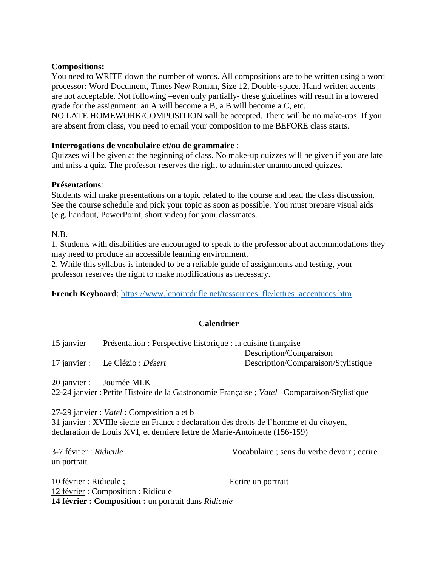#### **Compositions:**

You need to WRITE down the number of words. All compositions are to be written using a word processor: Word Document, Times New Roman, Size 12, Double-space. Hand written accents are not acceptable. Not following –even only partially- these guidelines will result in a lowered grade for the assignment: an A will become a B, a B will become a C, etc.

NO LATE HOMEWORK/COMPOSITION will be accepted. There will be no make-ups. If you are absent from class, you need to email your composition to me BEFORE class starts.

### **Interrogations de vocabulaire et/ou de grammaire** :

Quizzes will be given at the beginning of class. No make-up quizzes will be given if you are late and miss a quiz. The professor reserves the right to administer unannounced quizzes.

### **Présentations**:

Students will make presentations on a topic related to the course and lead the class discussion. See the course schedule and pick your topic as soon as possible. You must prepare visual aids (e.g. handout, PowerPoint, short video) for your classmates.

N.B.

1. Students with disabilities are encouraged to speak to the professor about accommodations they may need to produce an accessible learning environment.

2. While this syllabus is intended to be a reliable guide of assignments and testing, your professor reserves the right to make modifications as necessary.

**French Keyboard**: [https://www.lepointdufle.net/ressources\\_fle/lettres\\_accentuees.htm](https://www.lepointdufle.net/ressources_fle/lettres_accentuees.htm)

# **Calendrier**

| 15 janvier   | Présentation : Perspective historique : la cuisine française |                                     |
|--------------|--------------------------------------------------------------|-------------------------------------|
|              |                                                              | Description/Comparaison             |
| 17 janvier : | Le Clézio : <i>Désert</i>                                    | Description/Comparaison/Stylistique |

20 janvier : Journée MLK 22-24 janvier :Petite Histoire de la Gastronomie Française ; *Vatel* Comparaison/Stylistique

27-29 janvier : *Vatel* : Composition a et b 31 janvier : XVIIIe siecle en France : declaration des droits de l'homme et du citoyen, declaration de Louis XVI, et derniere lettre de Marie-Antoinette (156-159)

**14 février : Composition :** un portrait dans *Ridicule*

| 3-7 février : Ridicule<br>un portrait                          | Vocabulaire ; sens du verbe devoir ; ecrire |
|----------------------------------------------------------------|---------------------------------------------|
| 10 février : Ridicule ;<br>12 février : Composition : Ridicule | Ecrire un portrait                          |